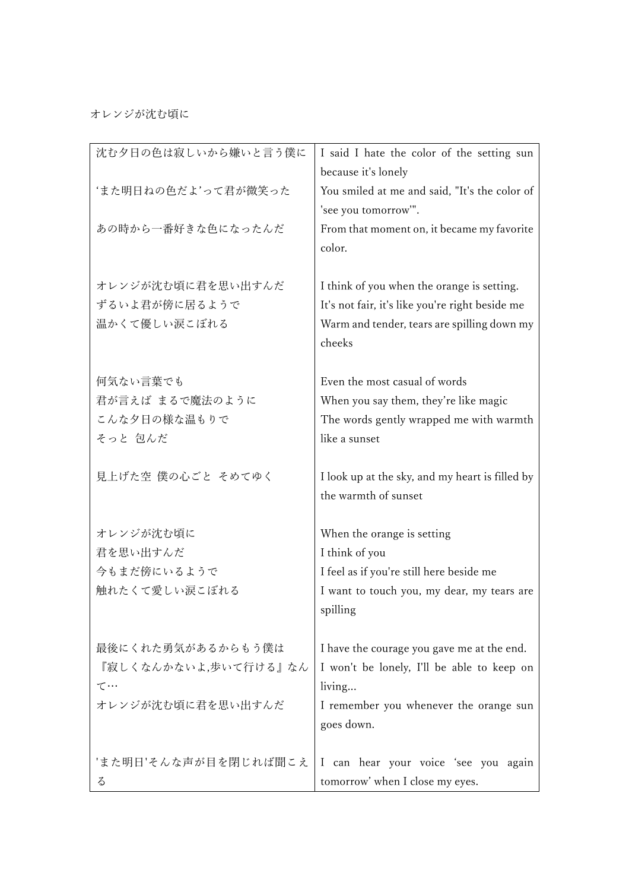## オレンジが沈む頃に

| 沈む夕日の色は寂しいから嫌いと言う僕に  | I said I hate the color of the setting sun      |
|----------------------|-------------------------------------------------|
|                      | because it's lonely                             |
| 'また明日ねの色だよ'って君が微笑った  | You smiled at me and said, "It's the color of   |
|                      | 'see you tomorrow'".                            |
| あの時から一番好きな色になったんだ    | From that moment on, it became my favorite      |
|                      | color.                                          |
| オレンジが沈む頃に君を思い出すんだ    | I think of you when the orange is setting.      |
| ずるいよ君が傍に居るようで        | It's not fair, it's like you're right beside me |
| 温かくて優しい涙こぼれる         | Warm and tender, tears are spilling down my     |
|                      | cheeks                                          |
|                      |                                                 |
| 何気ない言葉でも             | Even the most casual of words                   |
| 君が言えば まるで魔法のように      | When you say them, they're like magic           |
| こんな夕日の様な温もりで         | The words gently wrapped me with warmth         |
| そっと 包んだ              | like a sunset                                   |
|                      |                                                 |
| 見上げた空 僕の心ごと そめてゆく    | I look up at the sky, and my heart is filled by |
|                      | the warmth of sunset                            |
|                      |                                                 |
| オレンジが沈む頃に            | When the orange is setting                      |
| 君を思い出すんだ             | I think of you                                  |
| 今もまだ傍にいるようで          | I feel as if you're still here beside me        |
| 触れたくて愛しい涙こぼれる        | I want to touch you, my dear, my tears are      |
|                      | spilling                                        |
| 最後にくれた勇気があるからもう僕は    | I have the courage you gave me at the end.      |
| 『寂しくなんかないよ,歩いて行ける』なん | I won't be lonely, I'll be able to keep on      |
| $\tau \cdots$        | living                                          |
| オレンジが沈む頃に君を思い出すんだ    | I remember you whenever the orange sun          |
|                      | goes down.                                      |
|                      |                                                 |
| 'また明日'そんな声が目を閉じれば聞こえ | I can hear your voice 'see you again            |
| る                    | tomorrow' when I close my eyes.                 |